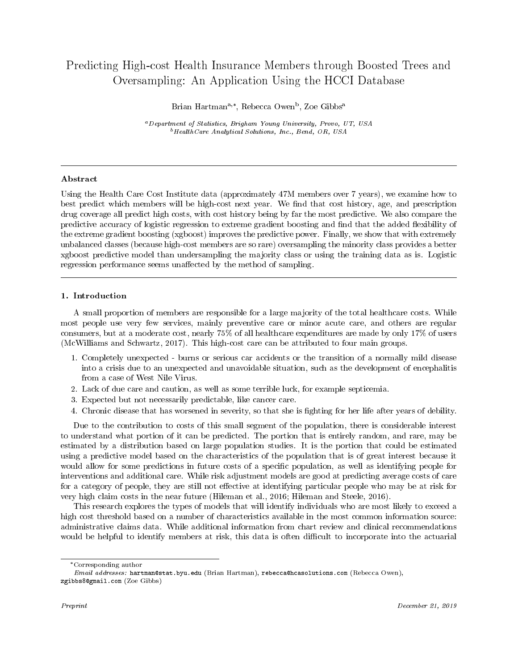# Predicting High-cost Health Insurance Members through Boosted Trees and Oversampling: An Application Using the HCCI Database

Brian Hartman<sup>a,\*</sup>, Rebecca Owen<sup>b</sup>, Zoe Gibbs<sup>a</sup>

<sup>a</sup>Department of Statistics, Brigham Young University, Provo, UT, USA  $b$  Health Care Analytical Solutions, Inc., Bend, OR, USA

# Abstract

Using the Health Care Cost Institute data (approximately 47M members over 7 years), we examine how to best predict which members will be high-cost next year. We find that cost history, age, and prescription drug coverage all predict high costs, with cost history being by far the most predictive. We also compare the predictive accuracy of logistic regression to extreme gradient boosting and find that the added flexibility of the extreme gradient boosting (xgboost) improves the predictive power. Finally, we show that with extremely unbalanced classes (because high-cost members are so rare) oversampling the minority class provides a better xgboost predictive model than undersampling the majority class or using the training data as is. Logistic regression performance seems unaffected by the method of sampling.

# 1. Introduction

A small proportion of members are responsible for a large majority of the total healthcare costs. While most people use very few services, mainly preventive care or minor acute care, and others are regular consumers, but at a moderate cost, nearly 75% of all healthcare expenditures are made by only 17% of users (McWilliams and Schwartz, 2017). This high-cost care can be attributed to four main groups.

- 1. Completely unexpected burns or serious car accidents or the transition of a normally mild disease into a crisis due to an unexpected and unavoidable situation, such as the development of encephalitis from a case of West Nile Virus.
- 2. Lack of due care and caution, as well as some terrible luck, for example septicemia.
- 3. Expected but not necessarily predictable, like cancer care.
- 4. Chronic disease that has worsened in severity, so that she is ghting for her life after years of debility.

Due to the contribution to costs of this small segment of the population, there is considerable interest to understand what portion of it can be predicted. The portion that is entirely random, and rare, may be estimated by a distribution based on large population studies. It is the portion that could be estimated using a predictive model based on the characteristics of the population that is of great interest because it would allow for some predictions in future costs of a specific population, as well as identifying people for interventions and additional care. While risk adjustment models are good at predicting average costs of care for a category of people, they are still not effective at identifying particular people who may be at risk for very high claim costs in the near future (Hileman et al., 2016; Hileman and Steele, 2016).

This research explores the types of models that will identify individuals who are most likely to exceed a high cost threshold based on a number of characteristics available in the most common information source: administrative claims data. While additional information from chart review and clinical recommendations would be helpful to identify members at risk, this data is often difficult to incorporate into the actuarial

Corresponding author

Email addresses: hartman@stat.byu.edu (Brian Hartman), rebecca@hcasolutions.com (Rebecca Owen), zgibbs8@gmail.com (Zoe Gibbs)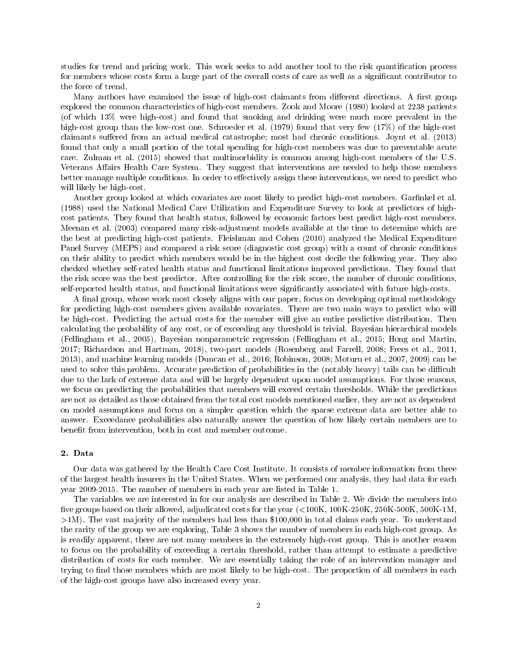studies for trend and pricing work. This work seeks to add another tool to the risk quantification process for members whose costs form a large part of the overall costs of care as well as a signicant contributor to the force of trend.

Many authors have examined the issue of high-cost claimants from different directions. A first group explored the common characteristics of high-cost members. Zook and Moore (1980) looked at 2238 patients (of which 13% were high-cost) and found that smoking and drinking were much more prevalent in the high-cost group than the low-cost one. Schroeder et al. (1979) found that very few (17%) of the high-cost claimants suffered from an actual medical catastrophe; most had chronic conditions. Joynt et al. (2013) found that only a small portion of the total spending for high-cost members was due to preventable acute care. Zulman et al. (2015) showed that multimorbidity is common among high-cost members of the U.S. Veterans Affairs Health Care System. They suggest that interventions are needed to help those members better manage multiple conditions. In order to effectively assign these interventions, we need to predict who will likely be high-cost.

Another group looked at which covariates are most likely to predict high-cost members. Garfinkel et al. (1988) used the National Medical Care Utilization and Expenditure Survey to look at predictors of highcost patients. They found that health status, followed by economic factors best predict high-cost members. Meenan et al. (2003) compared many risk-adjustment models available at the time to determine which are the best at predicting high-cost patients. Fleishman and Cohen (2010) analyzed the Medical Expenditure Panel Survey (MEPS) and compared a risk score (diagnostic cost group) with a count of chronic conditions on their ability to predict which members would be in the highest cost decile the following year. They also checked whether self-rated health status and functional limitations improved predictions. They found that the risk score was the best predictor. After controlling for the risk score, the number of chronic conditions, self-reported health status, and functional limitations were significantly associated with future high-costs.

A final group, whose work most closely aligns with our paper, focus on developing optimal methodology for predicting high-cost members given available covariates. There are two main ways to predict who will be high-cost. Predicting the actual costs for the member will give an entire predictive distribution. Then calculating the probability of any cost, or of exceeding any threshold is trivial. Bayesian hierarchical models (Fellingham et al., 2005), Bayesian nonparametric regression (Fellingham et al., 2015; Hong and Martin, 2017; Richardson and Hartman, 2018), two-part models (Rosenberg and Farrell, 2008; Frees et al., 2011, 2013), and machine learning models (Duncan et al., 2016; Robinson, 2008; Moturu et al., 2007, 2009) can be used to solve this problem. Accurate prediction of probabilities in the (notably heavy) tails can be difficult due to the lack of extreme data and will be largely dependent upon model assumptions. For those reasons, we focus on predicting the probabilities that members will exceed certain thresholds. While the predictions are not as detailed as those obtained from the total cost models mentioned earlier, they are not as dependent on model assumptions and focus on a simpler question which the sparse extreme data are better able to answer. Exceedance probabilities also naturally answer the question of how likely certain members are to benefit from intervention, both in cost and member outcome.

### 2. Data

Our data was gathered by the Health Care Cost Institute. It consists of member information from three of the largest health insurers in the United States. When we performed our analysis, they had data for each year 2009-2015. The number of members in each year are listed in Table 1.

The variables we are interested in for our analysis are described in Table 2. We divide the members into five groups based on their allowed, adjudicated costs for the year  $(<100K, 100K-250K, 250K-500K, 500K-1M$ . >1M). The vast majority of the members had less than \$100,000 in total claims each year. To understand the rarity of the group we are exploring, Table 3 shows the number of members in each high-cost group. As is readily apparent, there are not many members in the extremely high-cost group. This is another reason to focus on the probability of exceeding a certain threshold, rather than attempt to estimate a predictive distribution of costs for each member. We are essentially taking the role of an intervention manager and trying to find those members which are most likely to be high-cost. The proportion of all members in each of the high-cost groups have also increased every year.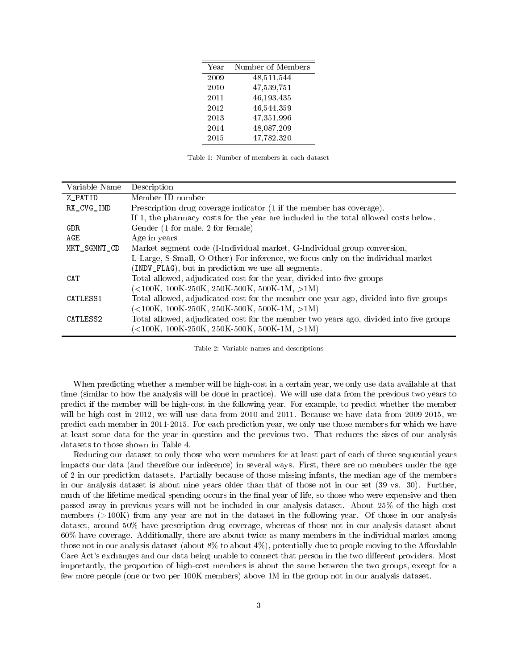| Year | Number of Members |
|------|-------------------|
| 2009 | 48,511,544        |
| 2010 | 47,539,751        |
| 2011 | 46,193,435        |
| 2012 | 46,544,359        |
| 2013 | 47,351,996        |
| 2014 | 48,087,209        |
| 2015 | 47,782,320        |

Table 1: Number of members in each dataset

| Variable Name | Description                                                                            |
|---------------|----------------------------------------------------------------------------------------|
| Z PATID       | Member ID number                                                                       |
| RX CVG IND    | Prescription drug coverage indicator (1 if the member has coverage).                   |
|               | If 1, the pharmacy costs for the year are included in the total allowed costs below.   |
| GDR           | Gender (1 for male, 2 for female)                                                      |
| AGE.          | Age in years                                                                           |
| MKT_SGMNT_CD  | Market segment code (I-Individual market, G-Individual group conversion,               |
|               | L-Large, S-Small, O-Other) For inference, we focus only on the individual market       |
|               | (INDV_FLAG), but in prediction we use all segments.                                    |
| CAT           | Total allowed, adjudicated cost for the year, divided into five groups                 |
|               | $(<$ 100K, 100K-250K, 250K-500K, 500K-1M, $>1$ M)                                      |
| CATLESS1      | Total allowed, adjudicated cost for the member one year ago, divided into five groups  |
|               | $(<100K, 100K-250K, 250K-500K, 500K-1M, >1M)$                                          |
| CATLESS2      | Total allowed, adjudicated cost for the member two years ago, divided into five groups |
|               | $(<100K, 100K-250K, 250K-500K, 500K-1M, >1M)$                                          |

Table 2: Variable names and descriptions

When predicting whether a member will be high-cost in a certain year, we only use data available at that time (similar to how the analysis will be done in practice). We will use data from the previous two years to predict if the member will be high-cost in the following year. For example, to predict whether the member will be high-cost in 2012, we will use data from 2010 and 2011. Because we have data from 2009-2015, we predict each member in 2011-2015. For each prediction year, we only use those members for which we have at least some data for the year in question and the previous two. That reduces the sizes of our analysis datasets to those shown in Table 4.

Reducing our dataset to only those who were members for at least part of each of three sequential years impacts our data (and therefore our inference) in several ways. First, there are no members under the age of 2 in our prediction datasets. Partially because of those missing infants, the median age of the members in our analysis dataset is about nine years older than that of those not in our set (39 vs. 30). Further, much of the lifetime medical spending occurs in the final year of life, so those who were expensive and then passed away in previous years will not be included in our analysis dataset. About 25% of the high cost members (>100K) from any year are not in the dataset in the following year. Of those in our analysis dataset, around 50% have prescription drug coverage, whereas of those not in our analysis dataset about 60% have coverage. Additionally, there are about twice as many members in the individual market among those not in our analysis dataset (about  $8\%$  to about  $4\%$ ), potentially due to people moving to the Affordable Care Act's exchanges and our data being unable to connect that person in the two different providers. Most importantly, the proportion of high-cost members is about the same between the two groups, except for a few more people (one or two per 100K members) above 1M in the group not in our analysis dataset.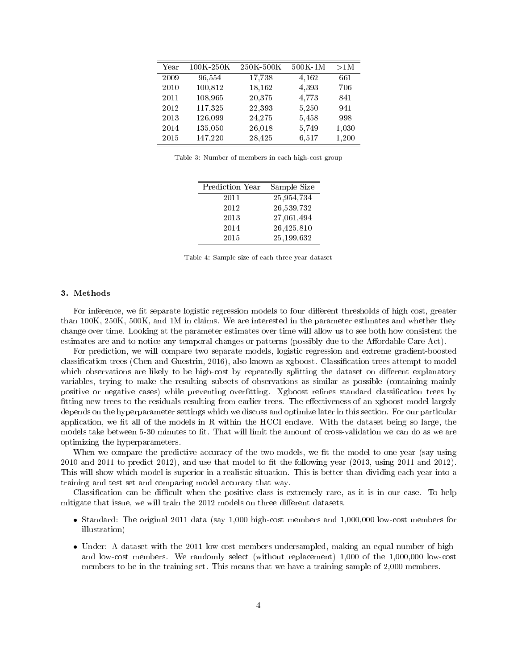| Year | 100K-250K | 250K-500K | $500K-1M$ | >1M   |
|------|-----------|-----------|-----------|-------|
| 2009 | 96,554    | 17,738    | 4,162     | 661   |
| 2010 | 100,812   | 18,162    | 4,393     | 706   |
| 2011 | 108,965   | 20,375    | 4,773     | 841   |
| 2012 | 117,325   | 22,393    | 5,250     | 941   |
| 2013 | 126,099   | 24,275    | 5,458     | 998   |
| 2014 | 135,050   | 26,018    | 5,749     | 1,030 |
| 2015 | 147,220   | 28,425    | 6,517     | 1,200 |

Table 3: Number of members in each high-cost group

| Prediction Year | Sample Size |
|-----------------|-------------|
| 2011            | 25,954,734  |
| 2012            | 26,539,732  |
| 2013            | 27,061,494  |
| 2014            | 26,425,810  |
| 2015            | 25,199,632  |

Table 4: Sample size of each three-year dataset

## 3. Methods

For inference, we fit separate logistic regression models to four different thresholds of high cost, greater than 100K, 250K, 500K, and 1M in claims. We are interested in the parameter estimates and whether they change over time. Looking at the parameter estimates over time will allow us to see both how consistent the estimates are and to notice any temporal changes or patterns (possibly due to the Affordable Care Act).

For prediction, we will compare two separate models, logistic regression and extreme gradient-boosted classification trees (Chen and Guestrin, 2016), also known as xgboost. Classification trees attempt to model which observations are likely to be high-cost by repeatedly splitting the dataset on different explanatory variables, trying to make the resulting subsets of observations as similar as possible (containing mainly positive or negative cases) while preventing overfitting. Xgboost refines standard classification trees by fitting new trees to the residuals resulting from earlier trees. The effectiveness of an xgboost model largely depends on the hyperparameter settings which we discuss and optimize later in this section. For our particular application, we fit all of the models in R within the HCCI enclave. With the dataset being so large, the models take between 5-30 minutes to fit. That will limit the amount of cross-validation we can do as we are optimizing the hyperparameters.

When we compare the predictive accuracy of the two models, we fit the model to one year (say using  $2010$  and  $2011$  to predict  $2012$ ), and use that model to fit the following year  $(2013, \text{ using } 2011 \text{ and } 2012)$ . This will show which model is superior in a realistic situation. This is better than dividing each year into a training and test set and comparing model accuracy that way.

Classification can be difficult when the positive class is extremely rare, as it is in our case. To help mitigate that issue, we will train the 2012 models on three different datasets.

- Standard: The original 2011 data (say 1,000 high-cost members and 1,000,000 low-cost members for illustration)
- Under: A dataset with the 2011 low-cost members undersampled, making an equal number of highand low-cost members. We randomly select (without replacement) 1,000 of the 1,000,000 low-cost members to be in the training set. This means that we have a training sample of 2,000 members.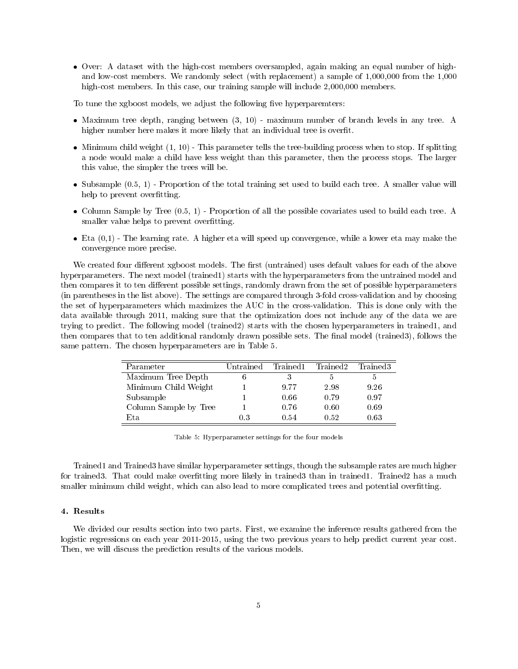Over: A dataset with the high-cost members oversampled, again making an equal number of highand low-cost members. We randomly select (with replacement) a sample of 1,000,000 from the 1,000 high-cost members. In this case, our training sample will include 2,000,000 members.

To tune the xgboost models, we adjust the following five hyperparemters:

- Maximum tree depth, ranging between (3, 10) maximum number of branch levels in any tree. A higher number here makes it more likely that an individual tree is overfit.
- $\bullet$  Minimum child weight  $(1, 10)$  This parameter tells the tree-building process when to stop. If splitting a node would make a child have less weight than this parameter, then the process stops. The larger this value, the simpler the trees will be.
- Subsample (0.5, 1) Proportion of the total training set used to build each tree. A smaller value will help to prevent overfitting.
- Column Sample by Tree (0.5, 1) Proportion of all the possible covariates used to build each tree. A smaller value helps to prevent overfitting.
- $\bullet$  Eta  $(0,1)$  The learning rate. A higher eta will speed up convergence, while a lower eta may make the convergence more precise.

We created four different xgboost models. The first (untrained) uses default values for each of the above hyperparameters. The next model (trained1) starts with the hyperparameters from the untrained model and then compares it to ten different possible settings, randomly drawn from the set of possible hyperparameters (in parentheses in the list above). The settings are compared through 3-fold cross-validation and by choosing the set of hyperparameters which maximizes the AUC in the cross-validation. This is done only with the data available through 2011, making sure that the optimization does not include any of the data we are trying to predict. The following model (trained2) starts with the chosen hyperparameters in trained1, and then compares that to ten additional randomly drawn possible sets. The final model (trained3), follows the same pattern. The chosen hyperparameters are in Table 5.

| Parameter             | Untrained | Trained1 | Trained2 | Trained3 |
|-----------------------|-----------|----------|----------|----------|
| Maximum Tree Depth    |           |          | 5        | 5        |
| Minimum Child Weight  |           | 9.77     | 2.98     | 9.26     |
| Subsample             |           | 0.66     | 0.79     | 0.97     |
| Column Sample by Tree |           | 0.76     | 0.60     | 0.69     |
| Et a                  | 03        | 0.54     | 0.52     | 0.63     |

Table 5: Hyperparameter settings for the four models

Trained1 and Trained3 have similar hyperparameter settings, though the subsample rates are much higher for trained3. That could make overfitting more likely in trained3 than in trained1. Trained2 has a much smaller minimum child weight, which can also lead to more complicated trees and potential overfitting.

# 4. Results

We divided our results section into two parts. First, we examine the inference results gathered from the logistic regressions on each year 2011-2015, using the two previous years to help predict current year cost. Then, we will discuss the prediction results of the various models.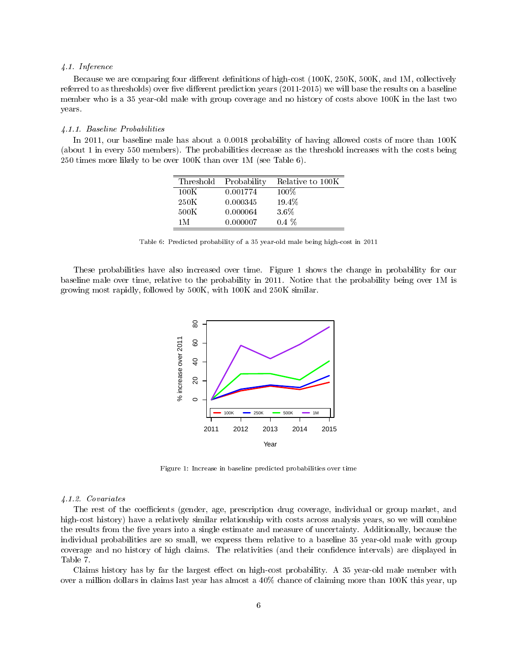#### 4.1. Inference

Because we are comparing four different definitions of high-cost (100K, 250K, 500K, and 1M, collectively referred to as thresholds) over five different prediction years  $(2011-2015)$  we will base the results on a baseline member who is a 35 year-old male with group coverage and no history of costs above 100K in the last two years.

### 4.1.1. Baseline Probabilities

In 2011, our baseline male has about a 0.0018 probability of having allowed costs of more than 100K (about 1 in every 550 members). The probabilities decrease as the threshold increases with the costs being 250 times more likely to be over 100K than over 1M (see Table 6).

| Threshold | Probability | Relative to 100K |
|-----------|-------------|------------------|
| 100K      | 0.001774    | $100\%$          |
| 250K      | 0.000345    | 19.4%            |
| 500K      | 0.000064    | 3.6%             |
| 1 M       | 0.000007    | $0.4\%$          |

Table 6: Predicted probability of a 35 year-old male being high-cost in 2011

These probabilities have also increased over time. Figure 1 shows the change in probability for our baseline male over time, relative to the probability in 2011. Notice that the probability being over 1M is growing most rapidly, followed by 500K, with 100K and 250K similar.



Figure 1: Increase in baseline predicted probabilities over time

#### 4.1.2. Covariates

The rest of the coefficients (gender, age, prescription drug coverage, individual or group market, and high-cost history) have a relatively similar relationship with costs across analysis years, so we will combine the results from the five years into a single estimate and measure of uncertainty. Additionally, because the individual probabilities are so small, we express them relative to a baseline 35 year-old male with group coverage and no history of high claims. The relativities (and their condence intervals) are displayed in Table 7.

Claims history has by far the largest effect on high-cost probability. A 35 year-old male member with over a million dollars in claims last year has almost a 40% chance of claiming more than 100K this year, up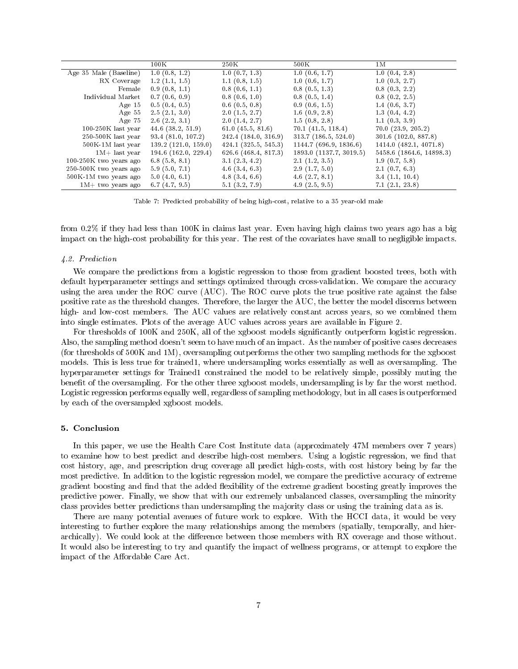|                          | 100K                     | $250\,\mathrm{K}$        | $500\,\mathrm{K}$       | 1М                       |
|--------------------------|--------------------------|--------------------------|-------------------------|--------------------------|
| Age 35 Male (Baseline)   | 1.0(0.8, 1.2)            | 1.0(0.7, 1.3)            | 1.0(0.6, 1.7)           | 1.0(0.4, 2.8)            |
| RX Coverage              | 1.2(1.1, 1.5)            | 1.1(0.8, 1.5)            | 1.0(0.6, 1.7)           | 1.0(0.3, 2.7)            |
| Female                   | 0.9(0.8, 1.1)            | 0.8(0.6, 1.1)            | 0.8(0.5, 1.3)           | 0.8(0.3, 2.2)            |
| Individual Market        | 0.7(0.6, 0.9)            | 0.8(0.6, 1.0)            | 0.8(0.5, 1.4)           | 0.8(0.2, 2.5)            |
| Age $15$                 | 0.5(0.4, 0.5)            | $0.6$ $(0.5, 0.8)$       | 0.9(0.6, 1.5)           | 1.4(0.6, 3.7)            |
| Age 55                   | 2.5(2.1, 3.0)            | 2.0(1.5, 2.7)            | 1.6(0.9, 2.8)           | 1.3(0.4, 4.2)            |
| Age 75                   | $2.6$ $(2.2, 3.1)$       | 2.0(1.4, 2.7)            | 1.5(0.8, 2.8)           | 1.1(0.3, 3.9)            |
| $100-250K$ last year     | $44.6$ $(38.2, 51.9)$    | 61.0 $(45.5, 81.6)$      | $70.1$ $(41.5, 118.4)$  | 70.0(23.9, 205.2)        |
| $250-500K$ last year     | 93.4(81.0, 107.2)        | 242.4 (184.0, 316.9)     | 313.7(186.5, 524.0)     | 301.6(102.0, 887.8)      |
| 500K-1M last year        | 139.2(121.0, 159.0)      | $424.1$ $(325.5, 545.3)$ | 1144.7(696.9, 1836.6)   | 1414.0(482.1, 4071.8)    |
| $1M+$ last year          | $194.6$ $(162.0, 229.4)$ | 626.6 (468.4, 817.3)     | 1893.0 (1137.7, 3019.5) | 5458.6 (1864.6, 14898.3) |
| $100-250K$ two years ago | 6.8(5.8, 8.1)            | 3.1(2.3, 4.2)            | 2.1(1.2, 3.5)           | 1.9(0.7, 5.8)            |
| 250-500K two years ago   | 5.9(5.0, 7.1)            | $4.6$ $(3.4, 6.3)$       | 2.9(1.7, 5.0)           | 2.1(0.7, 6.3)            |
| 500K-1M two years ago    | 5.0(4.0, 6.1)            | 4.8(3.4, 6.6)            | 4.6(2.7, 8.1)           | 3.4(1.1, 10.4)           |
| $1M+$ two years ago      | 6.7(4.7, 9.5)            | 5.1(3.2, 7.9)            | 4.9(2.5, 9.5)           | 7.1(2.1, 23.8)           |

Table 7: Predicted probability of being high-cost, relative to a 35 year-old male

from 0.2% if they had less than 100K in claims last year. Even having high claims two years ago has a big impact on the high-cost probability for this year. The rest of the covariates have small to negligible impacts.

## 4.2. Prediction

We compare the predictions from a logistic regression to those from gradient boosted trees, both with default hyperparameter settings and settings optimized through cross-validation. We compare the accuracy using the area under the ROC curve (AUC). The ROC curve plots the true positive rate against the false positive rate as the threshold changes. Therefore, the larger the AUC, the better the model discerns between high- and low-cost members. The AUC values are relatively constant across years, so we combined them into single estimates. Plots of the average AUC values across years are available in Figure 2.

For thresholds of 100K and 250K, all of the xgboost models significantly outperform logistic regression. Also, the sampling method doesn't seem to have much of an impact. As the number of positive cases decreases (for thresholds of 500K and 1M), oversampling outperforms the other two sampling methods for the xgboost models. This is less true for trained1, where undersampling works essentially as well as oversampling. The hyperparameter settings for Trained1 constrained the model to be relatively simple, possibly muting the benefit of the oversampling. For the other three xgboost models, undersampling is by far the worst method. Logistic regression performs equally well, regardless of sampling methodology, but in all cases is outperformed by each of the oversampled xgboost models.

## 5. Conclusion

In this paper, we use the Health Care Cost Institute data (approximately 47M members over 7 years) to examine how to best predict and describe high-cost members. Using a logistic regression, we find that cost history, age, and prescription drug coverage all predict high-costs, with cost history being by far the most predictive. In addition to the logistic regression model, we compare the predictive accuracy of extreme gradient boosting and find that the added flexibility of the extreme gradient boosting greatly improves the predictive power. Finally, we show that with our extremely unbalanced classes, oversampling the minority class provides better predictions than undersampling the majority class or using the training data as is.

There are many potential avenues of future work to explore. With the HCCI data, it would be very interesting to further explore the many relationships among the members (spatially, temporally, and hierarchically). We could look at the difference between those members with RX coverage and those without. It would also be interesting to try and quantify the impact of wellness programs, or attempt to explore the impact of the Affordable Care Act.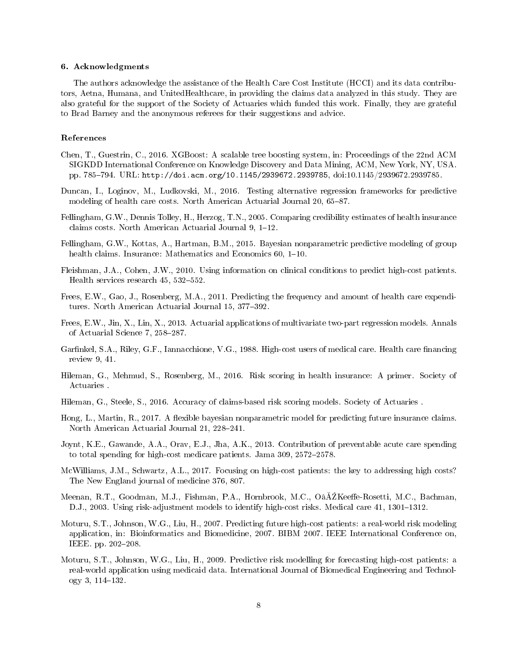#### 6. Acknowledgments

The authors acknowledge the assistance of the Health Care Cost Institute (HCCI) and its data contributors, Aetna, Humana, and UnitedHealthcare, in providing the claims data analyzed in this study. They are also grateful for the support of the Society of Actuaries which funded this work. Finally, they are grateful to Brad Barney and the anonymous referees for their suggestions and advice.

## References

- Chen, T., Guestrin, C., 2016. XGBoost: A scalable tree boosting system, in: Proceedings of the 22nd ACM SIGKDD International Conference on Knowledge Discovery and Data Mining, ACM, New York, NY, USA. pp. 785794. URL: http://doi.acm.org/10.1145/2939672.2939785, doi:10.1145/2939672.2939785.
- Duncan, I., Loginov, M., Ludkovski, M., 2016. Testing alternative regression frameworks for predictive modeling of health care costs. North American Actuarial Journal 20, 65–87.
- Fellingham, G.W., Dennis Tolley, H., Herzog, T.N., 2005. Comparing credibility estimates of health insurance claims costs. North American Actuarial Journal  $9, 1-12$ .
- Fellingham, G.W., Kottas, A., Hartman, B.M., 2015. Bayesian nonparametric predictive modeling of group health claims. Insurance: Mathematics and Economics  $60, 1-10$ .
- Fleishman, J.A., Cohen, J.W., 2010. Using information on clinical conditions to predict high-cost patients. Health services research  $45, 532-552$ .
- Frees, E.W., Gao, J., Rosenberg, M.A., 2011. Predicting the frequency and amount of health care expenditures. North American Actuarial Journal 15, 377-392.
- Frees, E.W., Jin, X., Lin, X., 2013. Actuarial applications of multivariate two-part regression models. Annals of Actuarial Science 7, 258-287.
- Garfinkel, S.A., Riley, G.F., Iannacchione, V.G., 1988. High-cost users of medical care. Health care financing review 9, 41.
- Hileman, G., Mehmud, S., Rosenberg, M., 2016. Risk scoring in health insurance: A primer. Society of Actuaries .
- Hileman, G., Steele, S., 2016. Accuracy of claims-based risk scoring models. Society of Actuaries .
- Hong, L., Martin, R., 2017. A flexible bayesian nonparametric model for predicting future insurance claims. North American Actuarial Journal 21, 228-241.
- Joynt, K.E., Gawande, A.A., Orav, E.J., Jha, A.K., 2013. Contribution of preventable acute care spending to total spending for high-cost medicare patients. Jama  $309, 2572 - 2578$ .
- McWilliams, J.M., Schwartz, A.L., 2017. Focusing on high-cost patients: the key to addressing high costs? The New England journal of medicine 376, 807.
- Meenan, R.T., Goodman, M.J., Fishman, P.A., Hornbrook, M.C., OâĂZKeeffe-Rosetti, M.C., Bachman. D.J., 2003. Using risk-adjustment models to identify high-cost risks. Medical care 41, 1301–1312.
- Moturu, S.T., Johnson, W.G., Liu, H., 2007. Predicting future high-cost patients: a real-world risk modeling application, in: Bioinformatics and Biomedicine, 2007. BIBM 2007. IEEE International Conference on, IEEE. pp. 202-208.
- Moturu, S.T., Johnson, W.G., Liu, H., 2009. Predictive risk modelling for forecasting high-cost patients: a real-world application using medicaid data. International Journal of Biomedical Engineering and Technology 3, 114-132.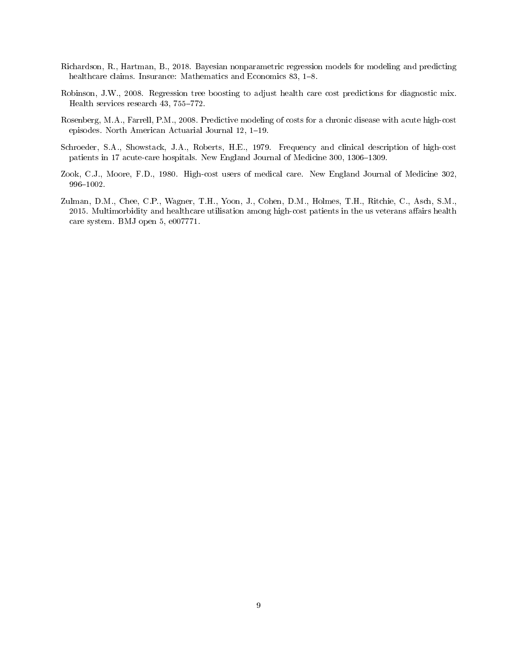- Richardson, R., Hartman, B., 2018. Bayesian nonparametric regression models for modeling and predicting healthcare claims. Insurance: Mathematics and Economics 83, 1-8.
- Robinson, J.W., 2008. Regression tree boosting to adjust health care cost predictions for diagnostic mix. Health services research  $43, 755-772$ .
- Rosenberg, M.A., Farrell, P.M., 2008. Predictive modeling of costs for a chronic disease with acute high-cost episodes. North American Actuarial Journal  $12$ ,  $1-19$ .
- Schroeder, S.A., Showstack, J.A., Roberts, H.E., 1979. Frequency and clinical description of high-cost patients in 17 acute-care hospitals. New England Journal of Medicine 300, 1306–1309.
- Zook, C.J., Moore, F.D., 1980. High-cost users of medical care. New England Journal of Medicine 302, 996-1002.
- Zulman, D.M., Chee, C.P., Wagner, T.H., Yoon, J., Cohen, D.M., Holmes, T.H., Ritchie, C., Asch, S.M., 2015. Multimorbidity and healthcare utilisation among high-cost patients in the us veterans affairs health care system. BMJ open 5, e007771.